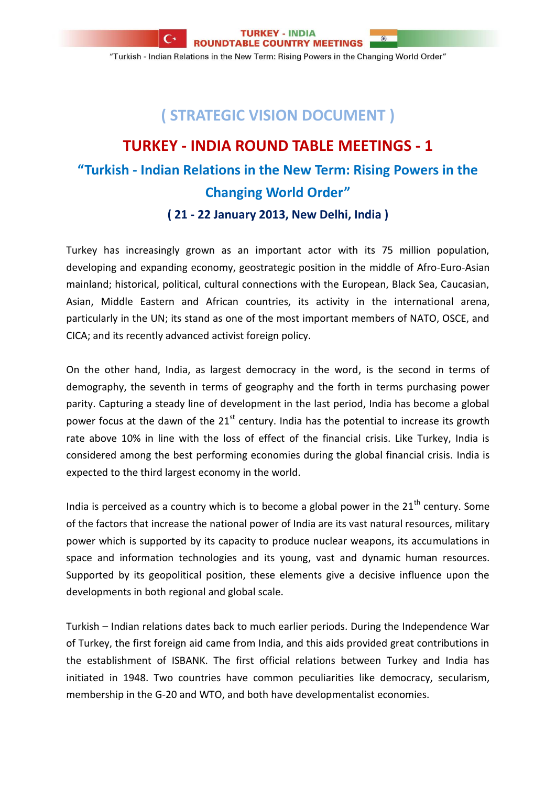**ROUNDTABLE COUNTRY MEETINGS** "Turkish - Indian Relations in the New Term: Rising Powers in the Changing World Order"

 $\circledR$ 

## **( STRATEGIC VISION DOCUMENT )**

## **TURKEY - INDIA ROUND TABLE MEETINGS - 1 "Turkish - Indian Relations in the New Term: Rising Powers in the Changing World Order" ( 21 - 22 January 2013, New Delhi, India )**

Turkey has increasingly grown as an important actor with its 75 million population, developing and expanding economy, geostrategic position in the middle of Afro-Euro-Asian mainland; historical, political, cultural connections with the European, Black Sea, Caucasian, Asian, Middle Eastern and African countries, its activity in the international arena, particularly in the UN; its stand as one of the most important members of NATO, OSCE, and CICA; and its recently advanced activist foreign policy.

On the other hand, India, as largest democracy in the word, is the second in terms of demography, the seventh in terms of geography and the forth in terms purchasing power parity. Capturing a steady line of development in the last period, India has become a global power focus at the dawn of the  $21<sup>st</sup>$  century. India has the potential to increase its growth rate above 10% in line with the loss of effect of the financial crisis. Like Turkey, India is considered among the best performing economies during the global financial crisis. India is expected to the third largest economy in the world.

India is perceived as a country which is to become a global power in the  $21<sup>th</sup>$  century. Some of the factors that increase the national power of India are its vast natural resources, military power which is supported by its capacity to produce nuclear weapons, its accumulations in space and information technologies and its young, vast and dynamic human resources. Supported by its geopolitical position, these elements give a decisive influence upon the developments in both regional and global scale.

Turkish – Indian relations dates back to much earlier periods. During the Independence War of Turkey, the first foreign aid came from India, and this aids provided great contributions in the establishment of ISBANK. The first official relations between Turkey and India has initiated in 1948. Two countries have common peculiarities like democracy, secularism, membership in the G-20 and WTO, and both have developmentalist economies.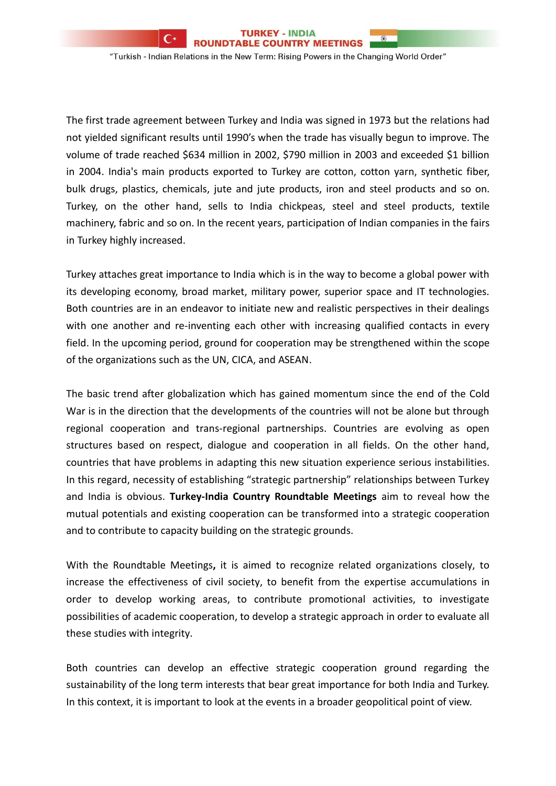**ROUNDTABLE COUNTRY MEETINGS** 

 $\circ$ 

"Turkish - Indian Relations in the New Term: Rising Powers in the Changing World Order"

The first trade agreement between Turkey and India was signed in 1973 but the relations had not yielded significant results until 1990's when the trade has visually begun to improve. The volume of trade reached \$634 million in 2002, \$790 million in 2003 and exceeded \$1 billion in 2004. India's main products exported to Turkey are cotton, cotton yarn, synthetic fiber, bulk drugs, plastics, chemicals, jute and jute products, iron and steel products and so on. Turkey, on the other hand, sells to India chickpeas, steel and steel products, textile machinery, fabric and so on. In the recent years, participation of Indian companies in the fairs in Turkey highly increased.

Turkey attaches great importance to India which is in the way to become a global power with its developing economy, broad market, military power, superior space and IT technologies. Both countries are in an endeavor to initiate new and realistic perspectives in their dealings with one another and re-inventing each other with increasing qualified contacts in every field. In the upcoming period, ground for cooperation may be strengthened within the scope of the organizations such as the UN, CICA, and ASEAN.

The basic trend after globalization which has gained momentum since the end of the Cold War is in the direction that the developments of the countries will not be alone but through regional cooperation and trans-regional partnerships. Countries are evolving as open structures based on respect, dialogue and cooperation in all fields. On the other hand, countries that have problems in adapting this new situation experience serious instabilities. In this regard, necessity of establishing "strategic partnership" relationships between Turkey and India is obvious. **Turkey-India Country Roundtable Meetings** aim to reveal how the mutual potentials and existing cooperation can be transformed into a strategic cooperation and to contribute to capacity building on the strategic grounds.

With the Roundtable Meetings**,** it is aimed to recognize related organizations closely, to increase the effectiveness of civil society, to benefit from the expertise accumulations in order to develop working areas, to contribute promotional activities, to investigate possibilities of academic cooperation, to develop a strategic approach in order to evaluate all these studies with integrity.

Both countries can develop an effective strategic cooperation ground regarding the sustainability of the long term interests that bear great importance for both India and Turkey. In this context, it is important to look at the events in a broader geopolitical point of view.